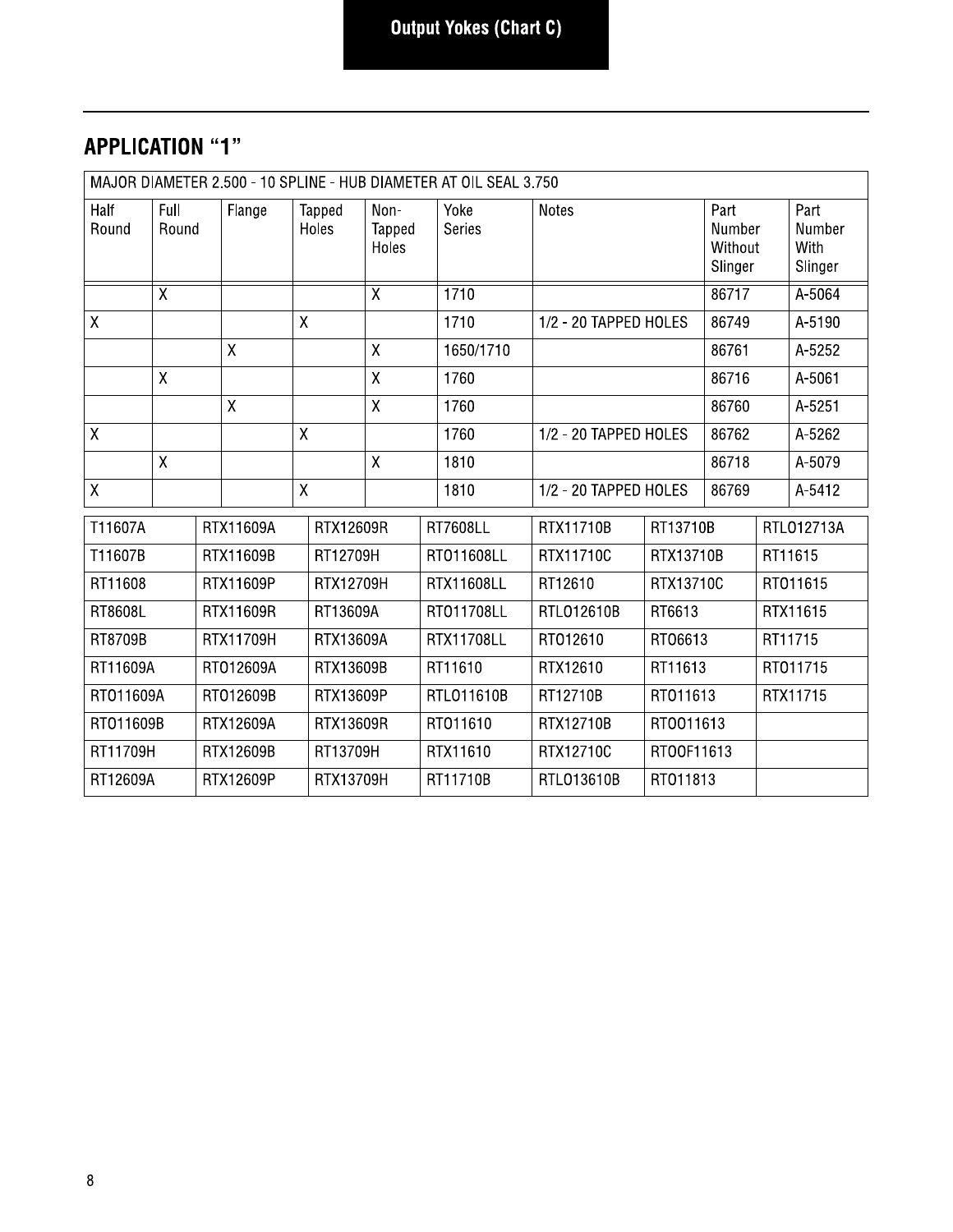#### **APPLICATION "1"**

| MAJOR DIAMETER 2.500 - 10 SPLINE - HUB DIAMETER AT OIL SEAL 3.750 |                   |  |              |                 |           |                         |                         |                       |                       |           |                                      |                                   |
|-------------------------------------------------------------------|-------------------|--|--------------|-----------------|-----------|-------------------------|-------------------------|-----------------------|-----------------------|-----------|--------------------------------------|-----------------------------------|
| Half<br>Round                                                     | Full<br>Round     |  | Flange       | Tapped<br>Holes |           | Non-<br>Tapped<br>Holes |                         | Yoke<br><b>Series</b> | Notes                 |           | Part<br>Number<br>Without<br>Slinger | Part<br>Number<br>With<br>Slinger |
|                                                                   | $\overline{\chi}$ |  |              |                 |           | $\overline{\chi}$       |                         | 1710                  |                       |           | 86717                                | A-5064                            |
| $\mathsf{X}$                                                      |                   |  |              | X               |           |                         |                         | 1710                  | 1/2 - 20 TAPPED HOLES |           | 86749                                | A-5190                            |
|                                                                   |                   |  | $\mathsf{X}$ |                 |           | $\mathsf{X}$            |                         | 1650/1710             |                       |           | 86761                                | A-5252                            |
|                                                                   | $\overline{X}$    |  |              |                 |           | X                       |                         | 1760                  |                       |           | 86716                                | A-5061                            |
|                                                                   |                   |  | $\pmb{\chi}$ |                 |           | $\mathsf{X}$            |                         | 1760                  |                       |           | 86760                                | A-5251                            |
| χ                                                                 |                   |  |              | $\mathsf{X}$    |           |                         |                         | 1760                  | 1/2 - 20 TAPPED HOLES |           | 86762                                | A-5262                            |
|                                                                   | $\sf X$           |  |              |                 |           | $\overline{X}$          |                         | 1810                  |                       |           | 86718                                | A-5079                            |
| $\mathsf{X}$                                                      |                   |  |              | X               |           |                         |                         | 1810                  | 1/2 - 20 TAPPED HOLES |           | 86769                                | A-5412                            |
| T11607A                                                           |                   |  | RTX11609A    |                 | RTX12609R |                         |                         | <b>RT7608LL</b>       | RTX11710B             | RT13710B  |                                      | RTL012713A                        |
| T11607B                                                           |                   |  | RTX11609B    |                 | RT12709H  |                         |                         | RT011608LL            | RTX11710C             | RTX13710B |                                      | RT11615                           |
| RT11608                                                           |                   |  | RTX11609P    |                 | RTX12709H |                         |                         | RTX11608LL            | RT12610               | RTX13710C |                                      | RT011615                          |
| RT8608L                                                           |                   |  | RTX11609R    |                 | RT13609A  |                         |                         | RT011708LL            | RTL012610B            | RT6613    |                                      | RTX11615                          |
| RT8709B                                                           |                   |  | RTX11709H    |                 | RTX13609A |                         |                         | <b>RTX11708LL</b>     | RT012610              | RT06613   |                                      | RT11715                           |
| RT11609A                                                          |                   |  | RT012609A    |                 | RTX13609B |                         |                         | RT11610               | RTX12610              | RT11613   |                                      | RT011715                          |
| RT011609A                                                         |                   |  | RT012609B    |                 | RTX13609P |                         |                         | RTL011610B            | RT12710B              | RT011613  |                                      | RTX11715                          |
| RT011609B                                                         |                   |  | RTX12609A    |                 | RTX13609R |                         |                         | RT011610              | RTX12710B             | RT0011613 |                                      |                                   |
| RT11709H<br>RTX12609B                                             |                   |  | RT13709H     |                 |           | RTX11610                | RTX12710C<br>RT00F11613 |                       |                       |           |                                      |                                   |
| RT12609A<br>RTX12609P                                             |                   |  | RTX13709H    |                 |           | RT11710B                | RTL013610B              | RT011813              |                       |           |                                      |                                   |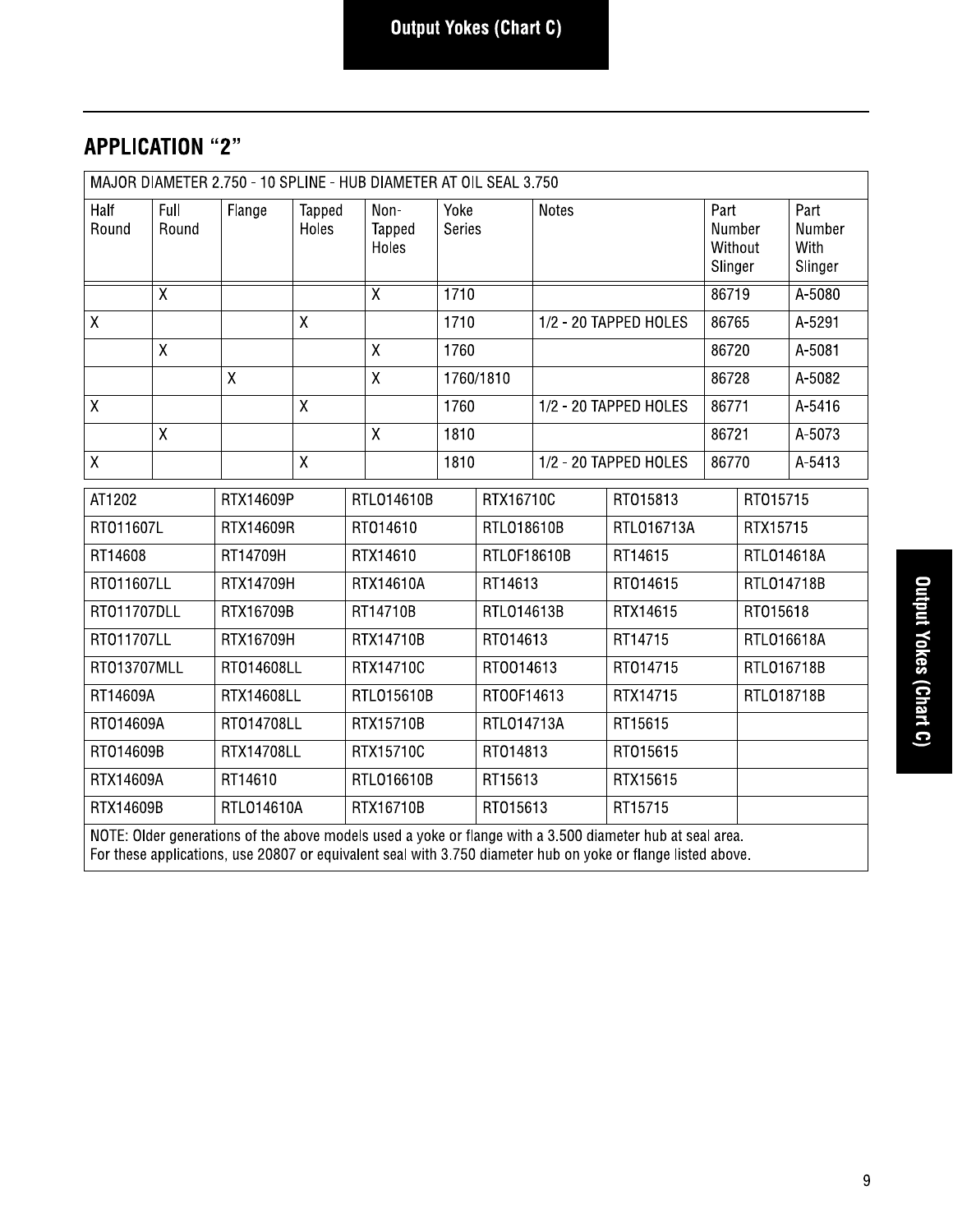# **APPLICATION "2"**

| MAJOR DIAMETER 2.750 - 10 SPLINE - HUB DIAMETER AT OIL SEAL 3.750 |                                                                                                                                                                                                                           |                   |                 |            |                         |                       |            |              |                       |                                      |            |                                   |
|-------------------------------------------------------------------|---------------------------------------------------------------------------------------------------------------------------------------------------------------------------------------------------------------------------|-------------------|-----------------|------------|-------------------------|-----------------------|------------|--------------|-----------------------|--------------------------------------|------------|-----------------------------------|
| Half<br>Round                                                     | Full<br>Round                                                                                                                                                                                                             | Flange            | Tapped<br>Holes |            | Non-<br>Tapped<br>Holes | Yoke<br><b>Series</b> |            | <b>Notes</b> |                       | Part<br>Number<br>Without<br>Slinger |            | Part<br>Number<br>With<br>Slinger |
|                                                                   | $\overline{X}$                                                                                                                                                                                                            |                   |                 |            | $\overline{\mathsf{X}}$ | 1710                  |            |              |                       | 86719                                |            | A-5080                            |
| $\mathsf{X}$                                                      |                                                                                                                                                                                                                           |                   | $\mathsf{X}$    |            |                         |                       | 1710       |              | 1/2 - 20 TAPPED HOLES |                                      | 86765      | A-5291                            |
|                                                                   | Χ                                                                                                                                                                                                                         |                   |                 |            | $\mathsf X$<br>1760     |                       |            |              |                       | 86720                                |            | A-5081                            |
|                                                                   |                                                                                                                                                                                                                           | χ                 |                 |            | $\pmb{\mathsf{X}}$      |                       | 1760/1810  |              |                       | 86728                                |            | A-5082                            |
| $\mathsf{X}% _{0}$                                                |                                                                                                                                                                                                                           |                   | X               |            |                         | 1760                  |            |              | 1/2 - 20 TAPPED HOLES | 86771                                |            | A-5416                            |
|                                                                   | $\mathsf X$                                                                                                                                                                                                               |                   |                 |            | $\mathsf{X}$            | 1810                  |            |              |                       | 86721                                |            | A-5073                            |
| $\mathsf{X}$                                                      |                                                                                                                                                                                                                           |                   | $\mathsf X$     |            |                         | 1810                  |            |              | 1/2 - 20 TAPPED HOLES | 86770                                |            | A-5413                            |
| AT1202                                                            |                                                                                                                                                                                                                           | RTX14609P         |                 |            | RTL014610B              |                       | RTX16710C  |              | RT015813              |                                      | RT015715   |                                   |
| RT011607L                                                         |                                                                                                                                                                                                                           | RTX14609R         |                 | RT014610   |                         | RTL018610B            |            | RTL016713A   |                       | RTX15715                             |            |                                   |
| RT14608                                                           |                                                                                                                                                                                                                           | RT14709H          |                 | RTX14610   |                         | RTLOF18610B           |            | RT14615      |                       | RTL014618A                           |            |                                   |
| RT011607LL                                                        |                                                                                                                                                                                                                           | RTX14709H         |                 | RTX14610A  |                         |                       | RT14613    |              | RT014615              |                                      | RTL014718B |                                   |
| RT011707DLL                                                       |                                                                                                                                                                                                                           | RTX16709B         |                 |            | RT14710B                |                       | RTL014613B |              | RTX14615              |                                      | RT015618   |                                   |
| RT011707LL                                                        |                                                                                                                                                                                                                           | RTX16709H         |                 |            | RTX14710B               |                       | RT014613   |              | RT14715               |                                      | RTL016618A |                                   |
| RT013707MLL                                                       |                                                                                                                                                                                                                           | RT014608LL        |                 |            | RTX14710C               |                       | RT0014613  |              | RT014715              |                                      | RTL016718B |                                   |
| RT14609A                                                          |                                                                                                                                                                                                                           | <b>RTX14608LL</b> |                 |            | RTL015610B              |                       | RT00F14613 |              | RTX14715              |                                      | RTL018718B |                                   |
| RT014609A                                                         |                                                                                                                                                                                                                           | RT014708LL        |                 |            | RTX15710B               |                       | RTL014713A |              | RT15615               |                                      |            |                                   |
| RT014609B                                                         |                                                                                                                                                                                                                           | <b>RTX14708LL</b> |                 |            | RTX15710C               |                       | RT014813   |              | RT015615              |                                      |            |                                   |
| RTX14609A<br>RT14610                                              |                                                                                                                                                                                                                           |                   |                 | RTL016610B |                         | RT15613               |            | RTX15615     |                       |                                      |            |                                   |
| RTX14609B<br>RTL014610A                                           |                                                                                                                                                                                                                           |                   |                 | RTX16710B  |                         |                       | RT015613   |              | RT15715               |                                      |            |                                   |
|                                                                   | NOTE: Older generations of the above models used a yoke or flange with a 3.500 diameter hub at seal area.<br>For these applications, use 20807 or equivalent seal with 3.750 diameter hub on yoke or flange listed above. |                   |                 |            |                         |                       |            |              |                       |                                      |            |                                   |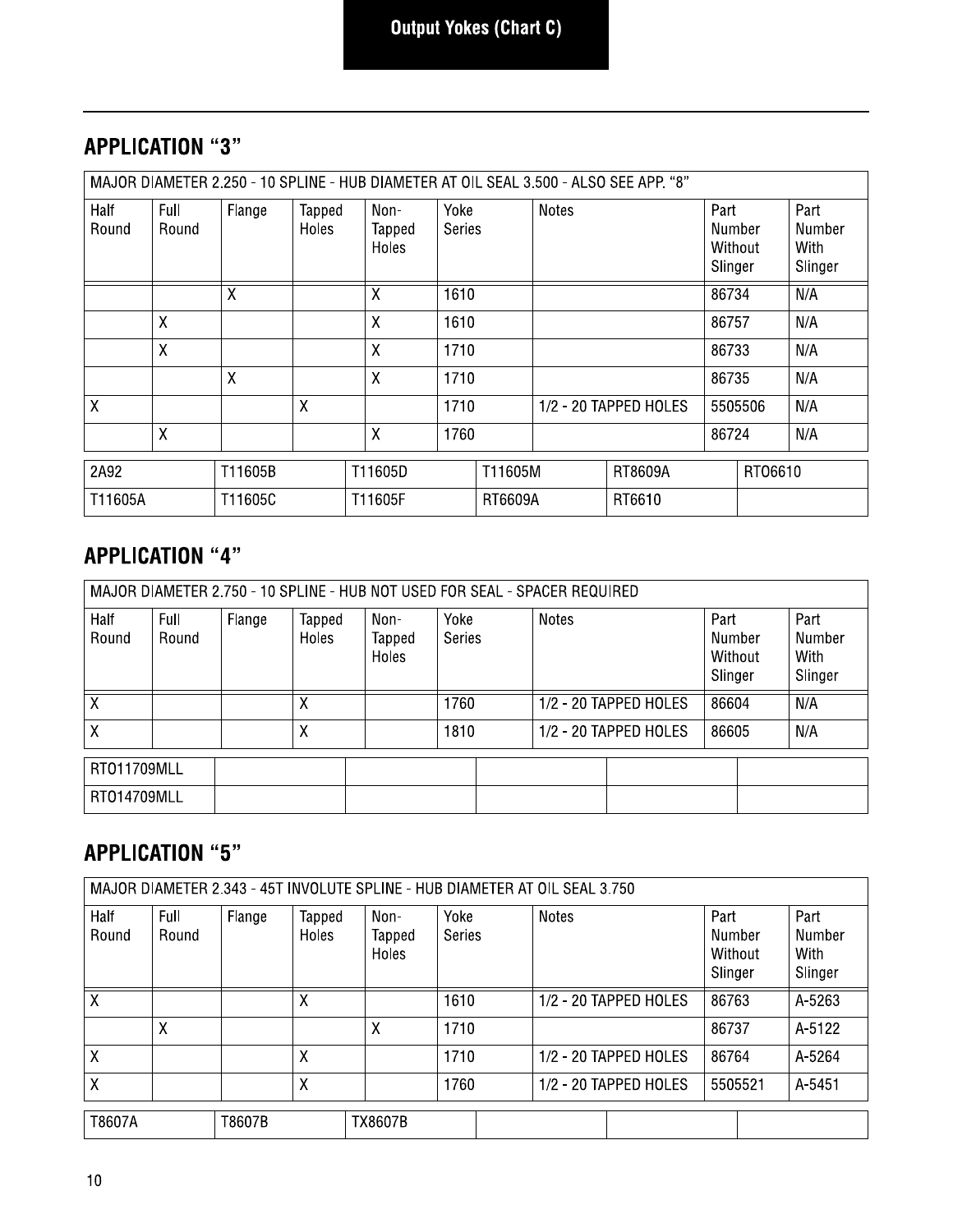## **APPLICATION "3"**

|               | MAJOR DIAMETER 2.250 - 10 SPLINE - HUB DIAMETER AT OIL SEAL 3.500 - ALSO SEE APP. "8" |                |                 |                         |                |         |              |                       |                                      |         |                                   |
|---------------|---------------------------------------------------------------------------------------|----------------|-----------------|-------------------------|----------------|---------|--------------|-----------------------|--------------------------------------|---------|-----------------------------------|
| Half<br>Round | Full<br>Round                                                                         | Flange         | Tapped<br>Holes | Non-<br>Tapped<br>Holes | Yoke<br>Series |         | <b>Notes</b> |                       | Part<br>Number<br>Without<br>Slinger |         | Part<br>Number<br>With<br>Slinger |
|               |                                                                                       | $\overline{X}$ |                 | χ                       | 1610           |         |              |                       | 86734                                |         | N/A                               |
|               | $\sf X$                                                                               |                |                 | X                       | 1610           |         |              |                       | 86757                                |         | N/A                               |
|               | X                                                                                     |                |                 | X                       | 1710           |         |              |                       | 86733                                |         | N/A                               |
|               |                                                                                       | $\sf X$        |                 | X                       | 1710           |         |              |                       | 86735                                |         | N/A                               |
| X             |                                                                                       |                | X               |                         | 1710           |         |              | 1/2 - 20 TAPPED HOLES |                                      | 5505506 | N/A                               |
|               | X                                                                                     |                |                 | X                       | 1760           |         |              |                       | 86724                                |         | N/A                               |
| 2A92          |                                                                                       | T11605B        |                 | T11605D                 |                | T11605M |              | RT8609A               |                                      | RT06610 |                                   |
| T11605A       |                                                                                       | T11605C        |                 | T11605F                 |                | RT6609A |              | RT6610                |                                      |         |                                   |

#### **APPLICATION "4"**

| MAJOR DIAMETER 2.750 - 10 SPLINE - HUB NOT USED FOR SEAL - SPACER REQUIRED |               |        |                 |                         |                       |  |       |                       |                                      |                                   |
|----------------------------------------------------------------------------|---------------|--------|-----------------|-------------------------|-----------------------|--|-------|-----------------------|--------------------------------------|-----------------------------------|
| Half<br>Round                                                              | Full<br>Round | Flange | Tapped<br>Holes | Non-<br>Tapped<br>Holes | Yoke<br><b>Series</b> |  | Notes |                       | Part<br>Number<br>Without<br>Slinger | Part<br>Number<br>With<br>Slinger |
| Χ                                                                          |               |        |                 |                         | 1760                  |  |       | 1/2 - 20 TAPPED HOLES | 86604                                | N/A                               |
| X                                                                          |               |        | Χ               |                         | 1810                  |  |       | 1/2 - 20 TAPPED HOLES | 86605                                | N/A                               |
| RT011709MLL<br>RT014709MLL                                                 |               |        |                 |                         |                       |  |       |                       |                                      |                                   |

# **APPLICATION "5"**

| MAJOR DIAMETER 2.343 - 45T INVOLUTE SPLINE - HUB DIAMETER AT OIL SEAL 3.750 |               |        |                 |                                |                       |  |       |                       |                                      |         |                                   |
|-----------------------------------------------------------------------------|---------------|--------|-----------------|--------------------------------|-----------------------|--|-------|-----------------------|--------------------------------------|---------|-----------------------------------|
| Half<br>Round                                                               | Full<br>Round | Flange | Tapped<br>Holes | Non-<br>Tapped<br><b>Holes</b> | Yoke<br><b>Series</b> |  | Notes |                       | Part<br>Number<br>Without<br>Slinger |         | Part<br>Number<br>With<br>Slinger |
| Χ                                                                           |               |        | χ               |                                | 1610                  |  |       | 1/2 - 20 TAPPED HOLES | 86763                                |         | A-5263                            |
|                                                                             | Χ             |        |                 | χ                              | 1710                  |  |       |                       | 86737                                |         | A-5122                            |
| χ                                                                           |               |        | χ               |                                | 1710                  |  |       | 1/2 - 20 TAPPED HOLES | 86764                                |         | A-5264                            |
| X                                                                           |               |        | Χ               |                                | 1760                  |  |       | 1/2 - 20 TAPPED HOLES |                                      | 5505521 | A-5451                            |
| T8607A                                                                      |               | T8607B |                 | <b>TX8607B</b>                 |                       |  |       |                       |                                      |         |                                   |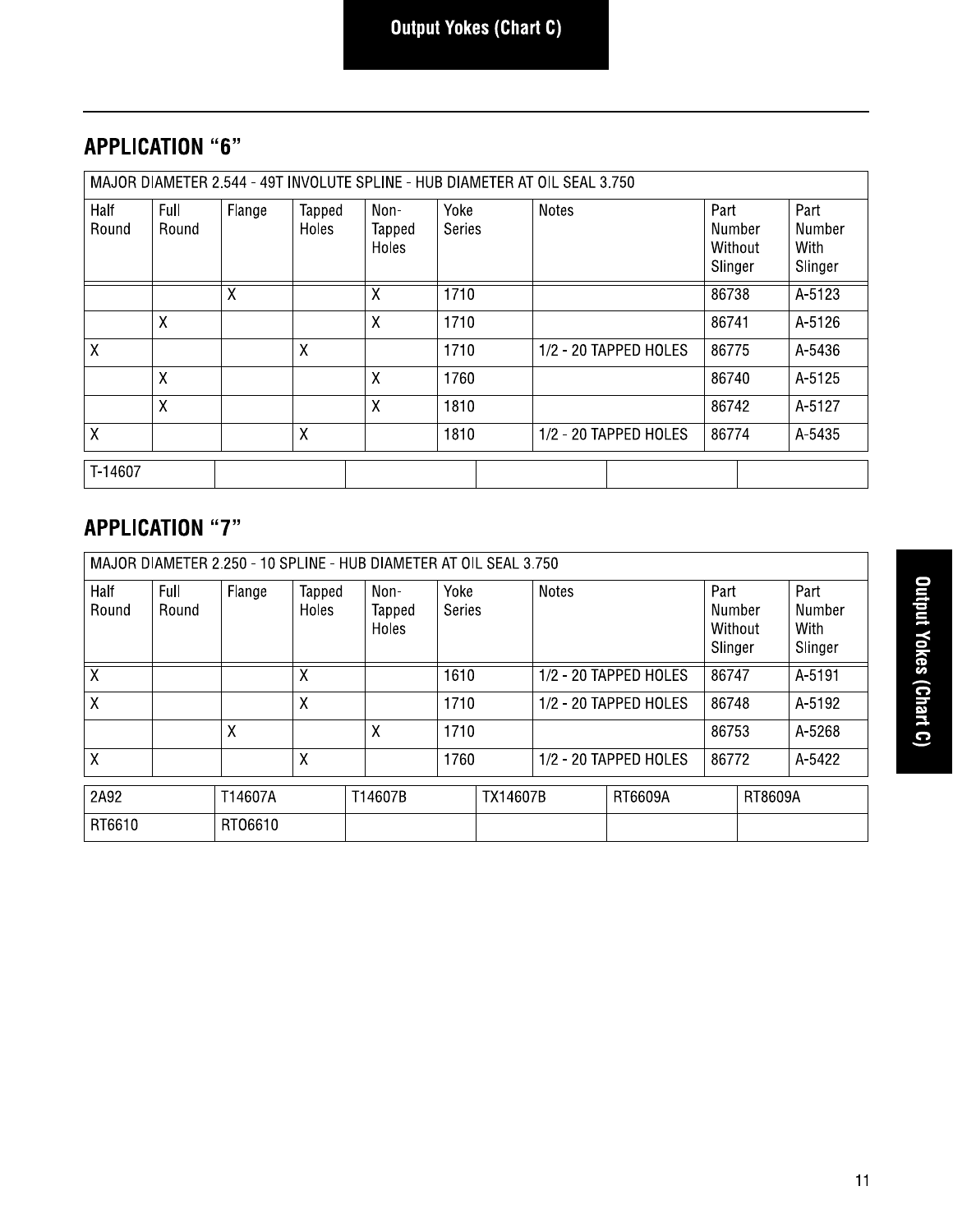# **APPLICATION "6"**

|               | MAJOR DIAMETER 2.544 - 49T INVOLUTE SPLINE - HUB DIAMETER AT OIL SEAL 3.750 |        |                 |                         |                       |                       |                                      |                                   |  |
|---------------|-----------------------------------------------------------------------------|--------|-----------------|-------------------------|-----------------------|-----------------------|--------------------------------------|-----------------------------------|--|
| Half<br>Round | Full<br>Round                                                               | Flange | Tapped<br>Holes | Non-<br>Tapped<br>Holes | Yoke<br><b>Series</b> | <b>Notes</b>          | Part<br>Number<br>Without<br>Slinger | Part<br>Number<br>With<br>Slinger |  |
|               |                                                                             | X      |                 | Χ                       | 1710                  |                       | 86738                                | A-5123                            |  |
|               | X                                                                           |        |                 | X                       | 1710                  |                       | 86741                                | A-5126                            |  |
| X             |                                                                             |        | $\mathsf{X}$    |                         | 1710                  | 1/2 - 20 TAPPED HOLES | 86775                                | A-5436                            |  |
|               | X                                                                           |        |                 | X                       | 1760                  |                       | 86740                                | A-5125                            |  |
|               | X                                                                           |        |                 | X                       | 1810                  |                       | 86742                                | A-5127                            |  |
| $\sf X$       |                                                                             |        | X               |                         | 1810                  | 1/2 - 20 TAPPED HOLES | 86774                                | A-5435                            |  |
| T-14607       |                                                                             |        |                 |                         |                       |                       |                                      |                                   |  |

## **APPLICATION "7"**

| MAJOR DIAMETER 2.250 - 10 SPLINE - HUB DIAMETER AT OIL SEAL 3.750 |               |         |                 |                         |                       |                 |              |                       |                                      |         |                                   |
|-------------------------------------------------------------------|---------------|---------|-----------------|-------------------------|-----------------------|-----------------|--------------|-----------------------|--------------------------------------|---------|-----------------------------------|
| Half<br>Round                                                     | Full<br>Round | Flange  | Tapped<br>Holes | Non-<br>Tapped<br>Holes | Yoke<br><b>Series</b> |                 | <b>Notes</b> |                       | Part<br>Number<br>Without<br>Slinger |         | Part<br>Number<br>With<br>Slinger |
| X                                                                 |               |         | Χ               |                         | 1610                  |                 |              | 1/2 - 20 TAPPED HOLES | 86747                                |         | A-5191                            |
| X                                                                 |               |         | Χ               |                         | 1710                  |                 |              | 1/2 - 20 TAPPED HOLES | 86748                                |         | A-5192                            |
|                                                                   |               | X       |                 | X                       | 1710                  |                 |              |                       | 86753                                |         | A-5268                            |
| X                                                                 |               |         | Χ               |                         | 1760                  |                 |              | 1/2 - 20 TAPPED HOLES | 86772                                |         | A-5422                            |
| 2A92                                                              |               | T14607A |                 | T14607B                 |                       | <b>TX14607B</b> |              | RT6609A               |                                      | RT8609A |                                   |
| RT6610                                                            |               | RT06610 |                 |                         |                       |                 |              |                       |                                      |         |                                   |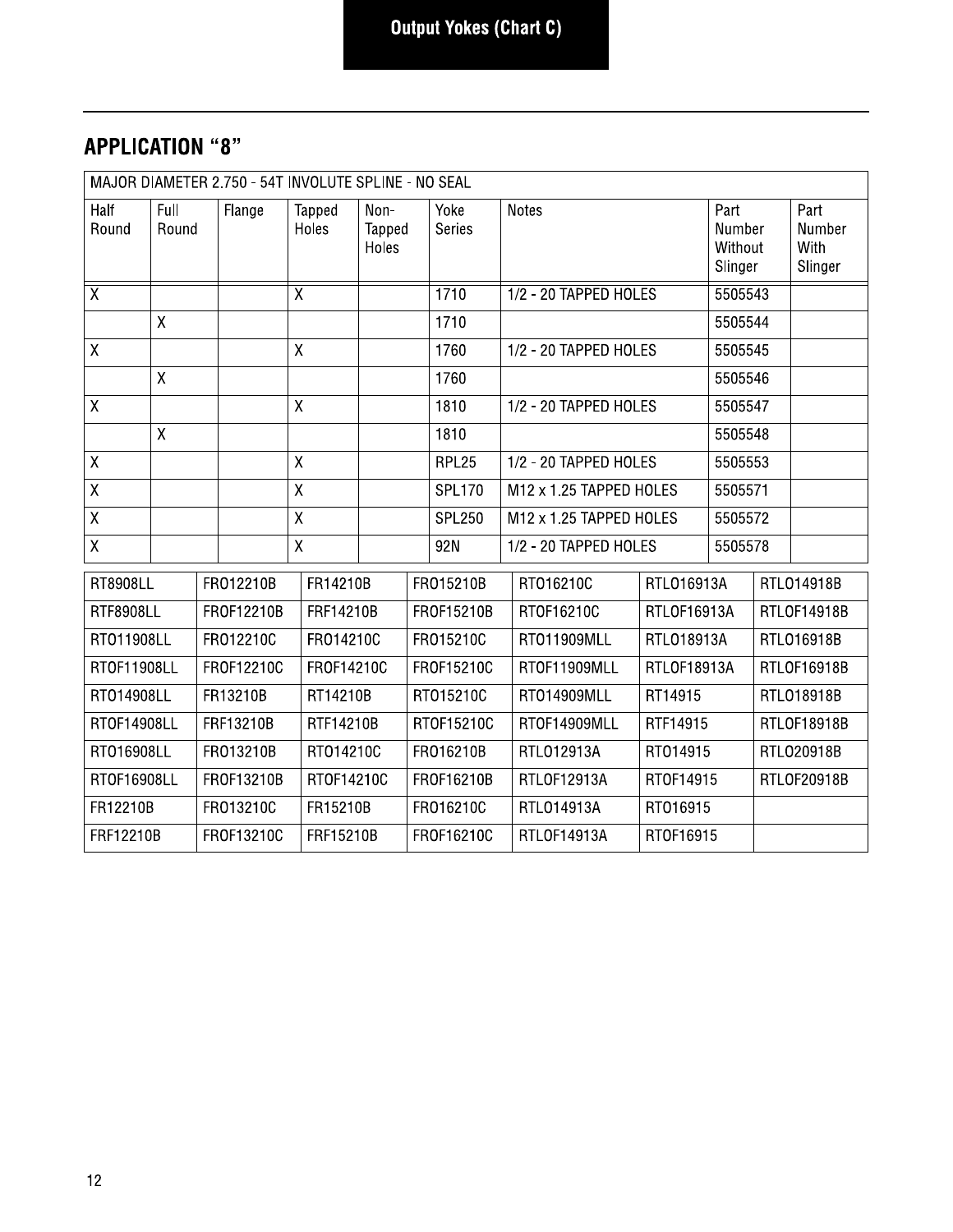#### **APPLICATION "8"**

| MAJOR DIAMETER 2.750 - 54T INVOLUTE SPLINE - NO SEAL |               |                       |            |                         |                 |                         |             |                |          |                         |             |                                      |                                   |
|------------------------------------------------------|---------------|-----------------------|------------|-------------------------|-----------------|-------------------------|-------------|----------------|----------|-------------------------|-------------|--------------------------------------|-----------------------------------|
| Half<br>Round                                        | Full<br>Round |                       | Flange     |                         | Tapped<br>Holes | Non-<br>Tapped<br>Holes |             | Yoke<br>Series |          | <b>Notes</b>            |             | Part<br>Number<br>Without<br>Slinger | Part<br>Number<br>With<br>Slinger |
| $\overline{X}$                                       |               |                       |            | $\overline{\mathsf{x}}$ |                 |                         |             | 1710           |          | 1/2 - 20 TAPPED HOLES   |             | 5505543                              |                                   |
|                                                      | $\mathsf{X}$  |                       |            |                         |                 |                         |             | 1710           |          |                         |             | 5505544                              |                                   |
| $\mathsf X$                                          |               |                       |            | $\mathsf{X}$            |                 |                         |             | 1760           |          | 1/2 - 20 TAPPED HOLES   |             | 5505545                              |                                   |
|                                                      | $\sf X$       |                       |            |                         |                 |                         |             | 1760           |          |                         |             | 5505546                              |                                   |
| $\mathsf X$                                          |               |                       |            | $\mathsf{X}$            |                 |                         |             | 1810           |          | 1/2 - 20 TAPPED HOLES   |             | 5505547                              |                                   |
|                                                      | $\mathsf{X}$  |                       |            |                         |                 |                         |             | 1810           |          |                         |             | 5505548                              |                                   |
| $\overline{X}$                                       |               |                       |            | $\overline{X}$          |                 |                         |             | RPL25          |          | 1/2 - 20 TAPPED HOLES   |             | 5505553                              |                                   |
| $\mathsf X$                                          |               |                       |            | $\pmb{\mathsf{X}}$      |                 |                         |             | <b>SPL170</b>  |          | M12 x 1.25 TAPPED HOLES |             | 5505571                              |                                   |
| $\bar{\mathsf{X}}$                                   |               |                       |            | $\mathsf{X}$            |                 |                         |             | <b>SPL250</b>  |          | M12 x 1.25 TAPPED HOLES |             | 5505572                              |                                   |
| X                                                    |               |                       |            | $\pmb{\chi}$            |                 |                         |             | 92N            |          | 1/2 - 20 TAPPED HOLES   |             | 5505578                              |                                   |
| <b>RT8908LL</b>                                      |               |                       | FR012210B  |                         | FR14210B        |                         |             | FR015210B      |          | RT016210C               | RTL016913A  |                                      | RTL014918B                        |
| <b>RTF8908LL</b>                                     |               |                       | FR0F12210B |                         | FRF14210B       |                         |             | FR0F15210B     |          | RT0F16210C              | RTLOF16913A |                                      | RTLOF14918B                       |
| RT011908LL                                           |               |                       | FR012210C  |                         | FR014210C       |                         |             | FR015210C      |          | RT011909MLL             | RTL018913A  |                                      | RTL016918B                        |
| RT0F11908LL                                          |               |                       | FR0F12210C |                         | FR0F14210C      |                         |             | FR0F15210C     |          | RTOF11909MLL            | RTLOF18913A |                                      | RTLOF16918B                       |
| RT014908LL                                           |               |                       | FR13210B   |                         | RT14210B        |                         |             | RT015210C      |          | RT014909MLL             | RT14915     |                                      | RTL018918B                        |
| RT0F14908LL                                          |               |                       | FRF13210B  |                         | RTF14210B       |                         |             | RT0F15210C     |          | RTOF14909MLL            | RTF14915    |                                      | RTLOF18918B                       |
| RT016908LL                                           |               |                       | FR013210B  |                         | RT014210C       |                         |             | FR016210B      |          | RTL012913A              | RT014915    |                                      | RTL020918B                        |
| RT0F16908LL                                          |               |                       | FR0F13210B |                         | RT0F14210C      |                         |             | FR0F16210B     |          | RTLOF12913A             | RT0F14915   |                                      | RTLOF20918B                       |
| FR12210B                                             |               | FR013210C<br>FR15210B |            |                         | FR016210C       |                         |             | RTL014913A     | RT016915 |                         |             |                                      |                                   |
| FRF12210B<br>FR0F13210C                              |               | FRF15210B             |            |                         | FR0F16210C      |                         | RTLOF14913A | RT0F16915      |          |                         |             |                                      |                                   |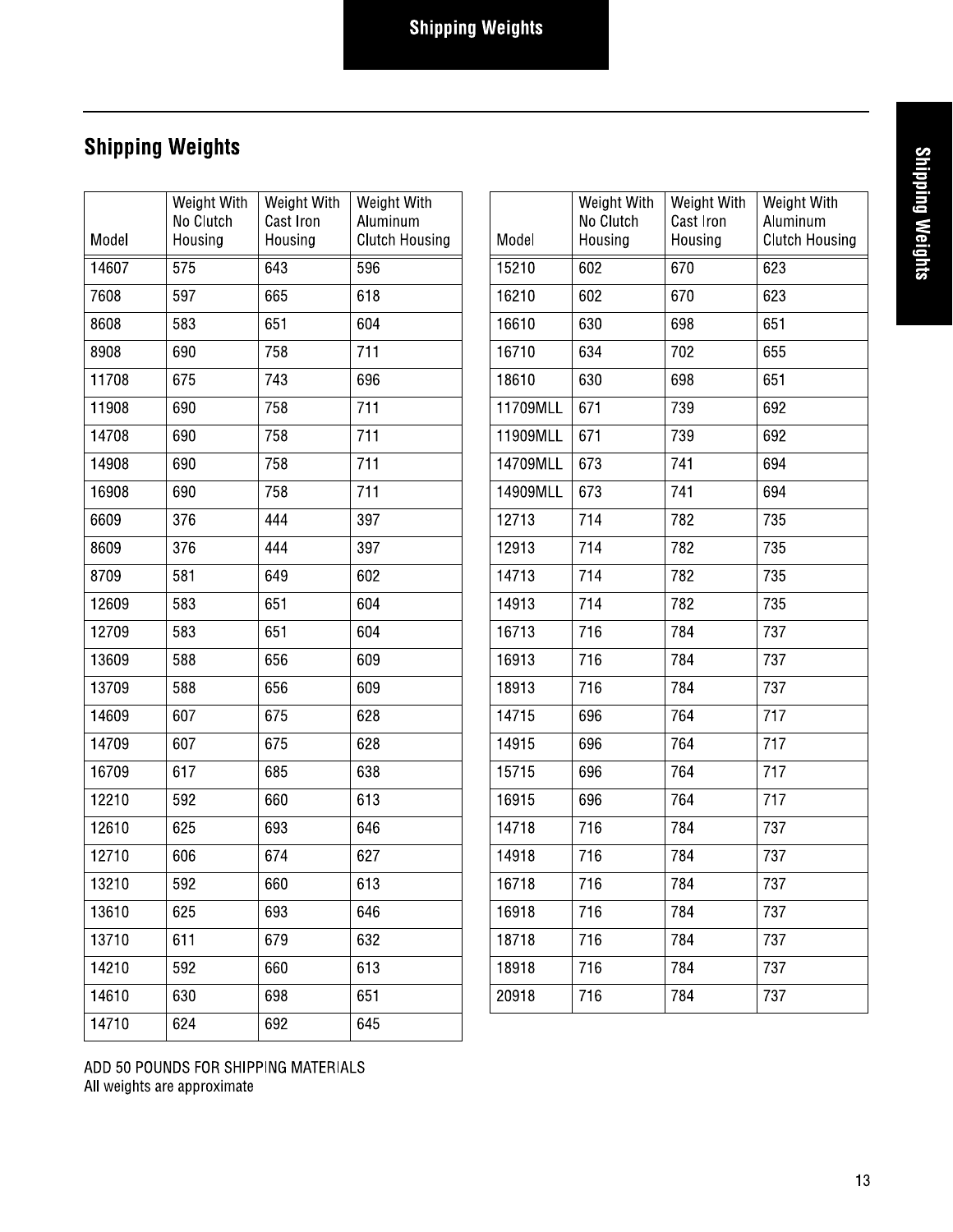## Snipping weignts

|       | <b>Shipping Weights</b>             |                                     |                                                  |          |                                     |                                     |                                                  |
|-------|-------------------------------------|-------------------------------------|--------------------------------------------------|----------|-------------------------------------|-------------------------------------|--------------------------------------------------|
| Model | Weight With<br>No Clutch<br>Housing | Weight With<br>Cast Iron<br>Housing | Weight With<br>Aluminum<br><b>Clutch Housing</b> | Model    | Weight With<br>No Clutch<br>Housing | Weight With<br>Cast Iron<br>Housing | Weight With<br>Aluminum<br><b>Clutch Housing</b> |
| 14607 | 575                                 | 643                                 | 596                                              | 15210    | 602                                 | 670                                 | 623                                              |
| 7608  | 597                                 | 665                                 | 618                                              | 16210    | 602                                 | 670                                 | 623                                              |
| 8608  | 583                                 | 651                                 | 604                                              | 16610    | 630                                 | 698                                 | 651                                              |
| 8908  | 690                                 | 758                                 | 711                                              | 16710    | 634                                 | 702                                 | 655                                              |
| 11708 | 675                                 | 743                                 | 696                                              | 18610    | 630                                 | 698                                 | 651                                              |
| 11908 | 690                                 | 758                                 | 711                                              | 11709MLL | 671                                 | 739                                 | 692                                              |
| 14708 | 690                                 | 758                                 | 711                                              | 11909MLL | 671                                 | 739                                 | 692                                              |
| 14908 | 690                                 | 758                                 | 711                                              | 14709MLL | 673                                 | 741                                 | 694                                              |
| 16908 | 690                                 | 758                                 | 711                                              | 14909MLL | 673                                 | 741                                 | 694                                              |
| 6609  | 376                                 | 444                                 | 397                                              | 12713    | 714                                 | 782                                 | 735                                              |
| 8609  | 376                                 | 444                                 | 397                                              | 12913    | 714                                 | 782                                 | 735                                              |
| 8709  | 581                                 | 649                                 | 602                                              | 14713    | 714                                 | 782                                 | 735                                              |
| 12609 | 583                                 | 651                                 | 604                                              | 14913    | 714                                 | 782                                 | 735                                              |
| 12709 | 583                                 | 651                                 | 604                                              | 16713    | 716                                 | 784                                 | 737                                              |
| 13609 | 588                                 | 656                                 | 609                                              | 16913    | 716                                 | 784                                 | 737                                              |
| 13709 | 588                                 | 656                                 | 609                                              | 18913    | 716                                 | 784                                 | 737                                              |
| 14609 | 607                                 | 675                                 | 628                                              | 14715    | 696                                 | 764                                 | 717                                              |
| 14709 | 607                                 | 675                                 | 628                                              | 14915    | 696                                 | 764                                 | 717                                              |
| 16709 | 617                                 | 685                                 | 638                                              | 15715    | 696                                 | 764                                 | 717                                              |
| 12210 | 592                                 | 660                                 | 613                                              | 16915    | 696                                 | 764                                 | 717                                              |
| 12610 | 625                                 | 693                                 | 646                                              | 14718    | 716                                 | 784                                 | 737                                              |
| 12710 | 606                                 | 674                                 | 627                                              | 14918    | 716                                 | 784                                 | 737                                              |
| 13210 | 592                                 | 660                                 | 613                                              | 16718    | 716                                 | 784                                 | 737                                              |
| 13610 | 625                                 | 693                                 | 646                                              | 16918    | 716                                 | 784                                 | 737                                              |
| 13710 | 611                                 | 679                                 | 632                                              | 18718    | 716                                 | 784                                 | 737                                              |
| 14210 | 592                                 | 660                                 | 613                                              | 18918    | 716                                 | 784                                 | 737                                              |
| 14610 | 630                                 | 698                                 | 651                                              | 20918    | 716                                 | 784                                 | 737                                              |
| 14710 | 624                                 | 692                                 | 645                                              |          |                                     |                                     |                                                  |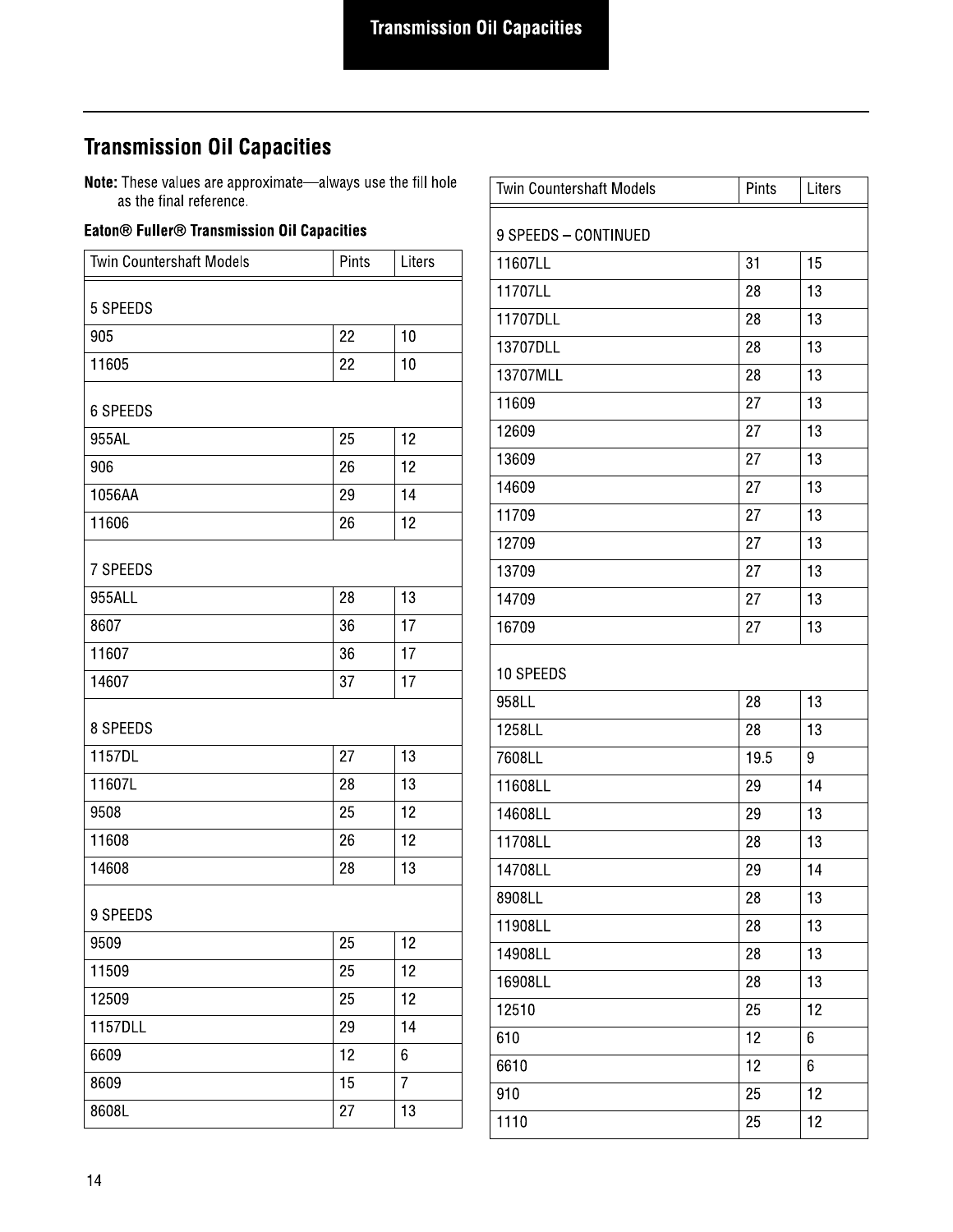#### **Transmission Oil Capacities**

**Note:** These values are approximate—always use the fill hole as the final reference.

#### Eaton<sup>®</sup> Fuller<sup>®</sup> Transmission Oil Capacities

| Twin Countershaft Models | Pints | Liters         |
|--------------------------|-------|----------------|
| 5 SPEEDS                 |       |                |
| 905                      | 22    | 10             |
| 11605                    | 22    | 10             |
| <b>6 SPEEDS</b>          |       |                |
| 955AL                    | 25    | 12             |
| 906                      | 26    | 12             |
| 1056AA                   | 29    | 14             |
| 11606                    | 26    | 12             |
| 7 SPEEDS                 |       |                |
| 955ALL                   | 28    | 13             |
| 8607                     | 36    | 17             |
| 11607                    | 36    | 17             |
| 14607                    | 37    | 17             |
| 8 SPEEDS                 |       |                |
| 1157DL                   | 27    | 13             |
| 11607L                   | 28    | 13             |
| 9508                     | 25    | 12             |
| 11608                    | 26    | 12             |
| 14608                    | 28    | 13             |
| 9 SPEEDS                 |       |                |
| 9509                     | 25    | 12             |
| 11509                    | 25    | 12             |
| 12509                    | 25    | 12             |
| 1157DLL                  | 29    | 14             |
| 6609                     | 12    | 6              |
| 8609                     | 15    | $\overline{7}$ |
| 8608L                    | 27    | 13             |

| <b>Twin Countershaft Models</b> | Pints | Liters |
|---------------------------------|-------|--------|
| 9 SPEEDS - CONTINUED            |       |        |
| 11607LL                         | 31    | 15     |
| 11707LL                         | 28    | 13     |
| 11707DLL                        | 28    | 13     |
| 13707DLL                        | 28    | 13     |
| 13707MLL                        | 28    | 13     |
| 11609                           | 27    | 13     |
| 12609                           | 27    | 13     |
| 13609                           | 27    | 13     |
| 14609                           | 27    | 13     |
| 11709                           | 27    | 13     |
| 12709                           | 27    | 13     |
| 13709                           | 27    | 13     |
| 14709                           | 27    | 13     |
| 16709                           | 27    | 13     |
| 10 SPEEDS                       |       |        |
| 958LL                           | 28    | 13     |
| 1258LL                          | 28    | 13     |
| 7608LL                          | 19.5  | 9      |
| 11608LL                         | 29    | 14     |
| 14608LL                         | 29    | 13     |
| 11708LL                         | 28    | 13     |
| 14708LL                         | 29    | 14     |
| 8908LL                          | 28    | 13     |
| 11908LL                         | 28    | 13     |
| 14908LL                         | 28    | 13     |
| 16908LL                         | 28    | 13     |
| 12510                           | 25    | 12     |
| 610                             | 12    | 6      |
| 6610                            | 12    | 6      |
| 910                             | 25    | 12     |
| 1110                            | 25    | 12     |